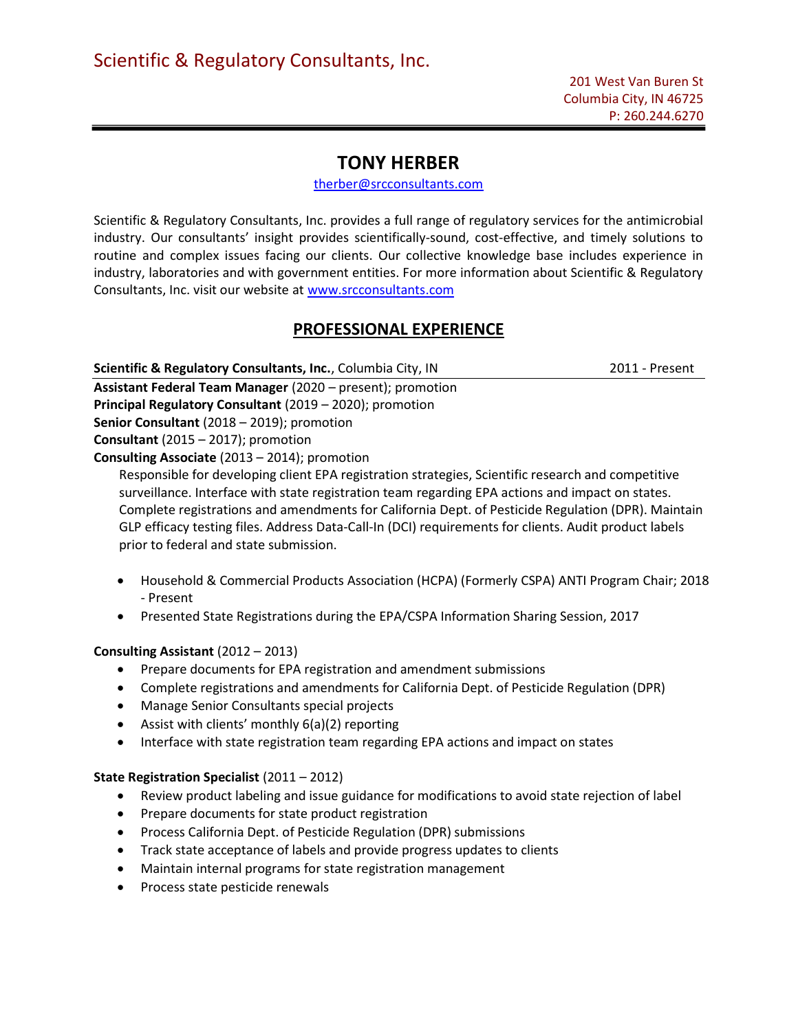# TONY HERBER

therber@srcconsultants.com

Scientific & Regulatory Consultants, Inc. provides a full range of regulatory services for the antimicrobial industry. Our consultants' insight provides scientifically-sound, cost-effective, and timely solutions to routine and complex issues facing our clients. Our collective knowledge base includes experience in industry, laboratories and with government entities. For more information about Scientific & Regulatory Consultants, Inc. visit our website at www.srcconsultants.com

# PROFESSIONAL EXPERIENCE

Scientific & Regulatory Consultants, Inc., Columbia City, IN 2011 - Present

Assistant Federal Team Manager (2020 – present); promotion Principal Regulatory Consultant (2019 – 2020); promotion

Senior Consultant (2018 – 2019); promotion

Consultant (2015 – 2017); promotion

Consulting Associate (2013 – 2014); promotion

 Responsible for developing client EPA registration strategies, Scientific research and competitive surveillance. Interface with state registration team regarding EPA actions and impact on states. Complete registrations and amendments for California Dept. of Pesticide Regulation (DPR). Maintain GLP efficacy testing files. Address Data-Call-In (DCI) requirements for clients. Audit product labels prior to federal and state submission.

- Household & Commercial Products Association (HCPA) (Formerly CSPA) ANTI Program Chair; 2018 - Present
- Presented State Registrations during the EPA/CSPA Information Sharing Session, 2017

## Consulting Assistant (2012 – 2013)

- Prepare documents for EPA registration and amendment submissions
- Complete registrations and amendments for California Dept. of Pesticide Regulation (DPR)
- Manage Senior Consultants special projects
- Assist with clients' monthly 6(a)(2) reporting
- Interface with state registration team regarding EPA actions and impact on states

## State Registration Specialist (2011 – 2012)

- Review product labeling and issue guidance for modifications to avoid state rejection of label
- Prepare documents for state product registration
- Process California Dept. of Pesticide Regulation (DPR) submissions
- Track state acceptance of labels and provide progress updates to clients
- Maintain internal programs for state registration management
- Process state pesticide renewals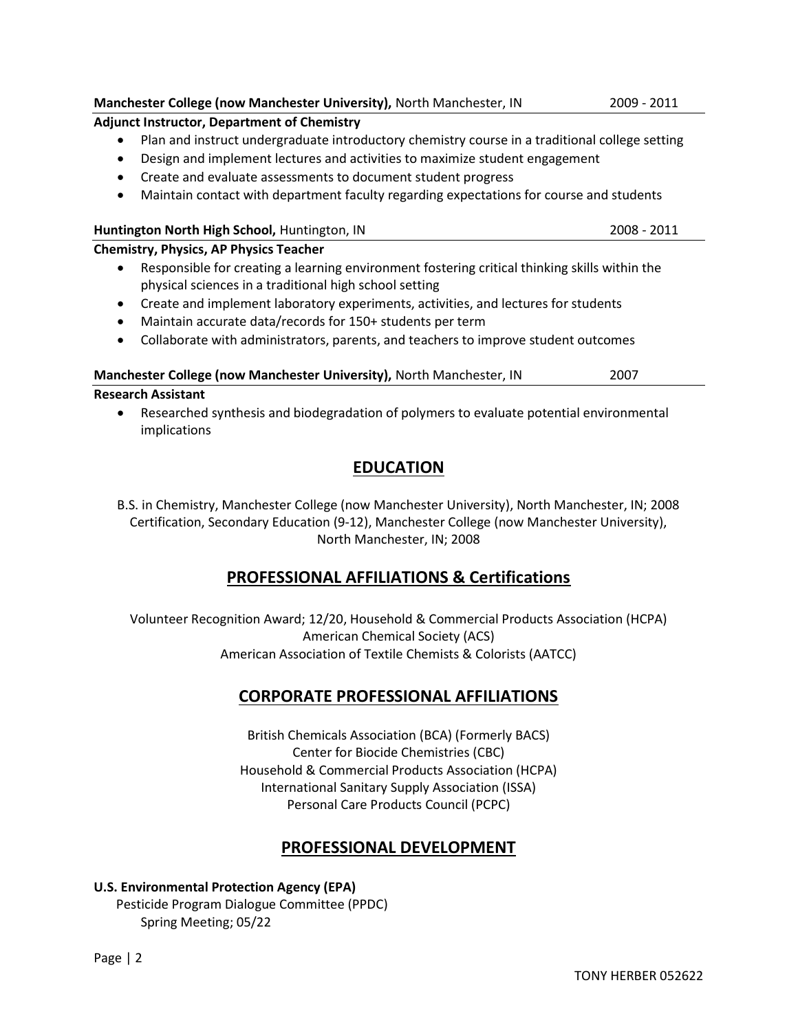- Adjunct Instructor, Department of Chemistry Plan and instruct undergraduate introductory chemistry course in a traditional college setting Design and implement lectures and activities to maximize student engagement Create and evaluate assessments to document student progress Maintain contact with department faculty regarding expectations for course and students Huntington North High School, Huntington, IN 2008 - 2011 Chemistry, Physics, AP Physics Teacher Responsible for creating a learning environment fostering critical thinking skills within the physical sciences in a traditional high school setting Create and implement laboratory experiments, activities, and lectures for students Maintain accurate data/records for 150+ students per term
	- Collaborate with administrators, parents, and teachers to improve student outcomes

## Manchester College (now Manchester University), North Manchester, IN 2007

## Research Assistant

 Researched synthesis and biodegradation of polymers to evaluate potential environmental implications

# EDUCATION

B.S. in Chemistry, Manchester College (now Manchester University), North Manchester, IN; 2008 Certification, Secondary Education (9-12), Manchester College (now Manchester University), North Manchester, IN; 2008

# PROFESSIONAL AFFILIATIONS & Certifications

Volunteer Recognition Award; 12/20, Household & Commercial Products Association (HCPA) American Chemical Society (ACS) American Association of Textile Chemists & Colorists (AATCC)

# CORPORATE PROFESSIONAL AFFILIATIONS

British Chemicals Association (BCA) (Formerly BACS) Center for Biocide Chemistries (CBC) Household & Commercial Products Association (HCPA) International Sanitary Supply Association (ISSA) Personal Care Products Council (PCPC)

# PROFESSIONAL DEVELOPMENT

# U.S. Environmental Protection Agency (EPA)

 Pesticide Program Dialogue Committee (PPDC) Spring Meeting; 05/22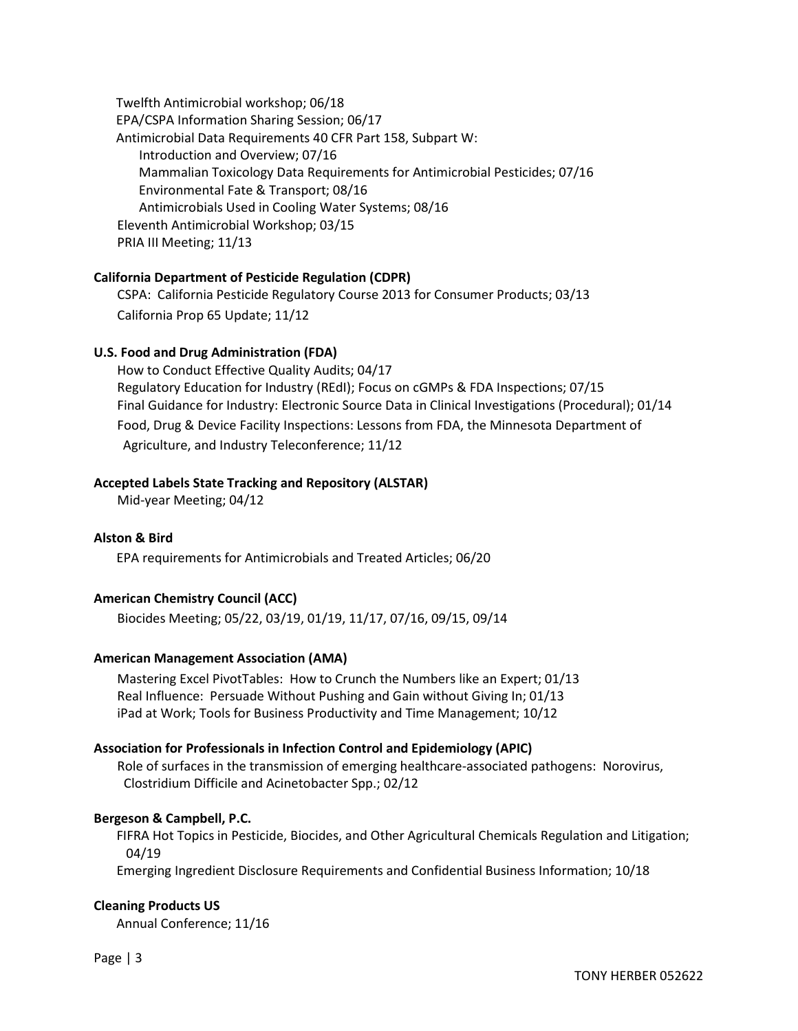Twelfth Antimicrobial workshop; 06/18 EPA/CSPA Information Sharing Session; 06/17 Antimicrobial Data Requirements 40 CFR Part 158, Subpart W: Introduction and Overview; 07/16 Mammalian Toxicology Data Requirements for Antimicrobial Pesticides; 07/16 Environmental Fate & Transport; 08/16 Antimicrobials Used in Cooling Water Systems; 08/16 Eleventh Antimicrobial Workshop; 03/15 PRIA III Meeting; 11/13

### California Department of Pesticide Regulation (CDPR)

CSPA: California Pesticide Regulatory Course 2013 for Consumer Products; 03/13 California Prop 65 Update; 11/12

#### U.S. Food and Drug Administration (FDA)

How to Conduct Effective Quality Audits; 04/17 Regulatory Education for Industry (REdI); Focus on cGMPs & FDA Inspections; 07/15 Final Guidance for Industry: Electronic Source Data in Clinical Investigations (Procedural); 01/14 Food, Drug & Device Facility Inspections: Lessons from FDA, the Minnesota Department of Agriculture, and Industry Teleconference; 11/12

#### Accepted Labels State Tracking and Repository (ALSTAR)

Mid-year Meeting; 04/12

#### Alston & Bird

EPA requirements for Antimicrobials and Treated Articles; 06/20

### American Chemistry Council (ACC)

Biocides Meeting; 05/22, 03/19, 01/19, 11/17, 07/16, 09/15, 09/14

#### American Management Association (AMA)

Mastering Excel PivotTables: How to Crunch the Numbers like an Expert; 01/13 Real Influence: Persuade Without Pushing and Gain without Giving In; 01/13 iPad at Work; Tools for Business Productivity and Time Management; 10/12

#### Association for Professionals in Infection Control and Epidemiology (APIC)

Role of surfaces in the transmission of emerging healthcare-associated pathogens: Norovirus, Clostridium Difficile and Acinetobacter Spp.; 02/12

#### Bergeson & Campbell, P.C.

 FIFRA Hot Topics in Pesticide, Biocides, and Other Agricultural Chemicals Regulation and Litigation; 04/19

Emerging Ingredient Disclosure Requirements and Confidential Business Information; 10/18

#### Cleaning Products US

Annual Conference; 11/16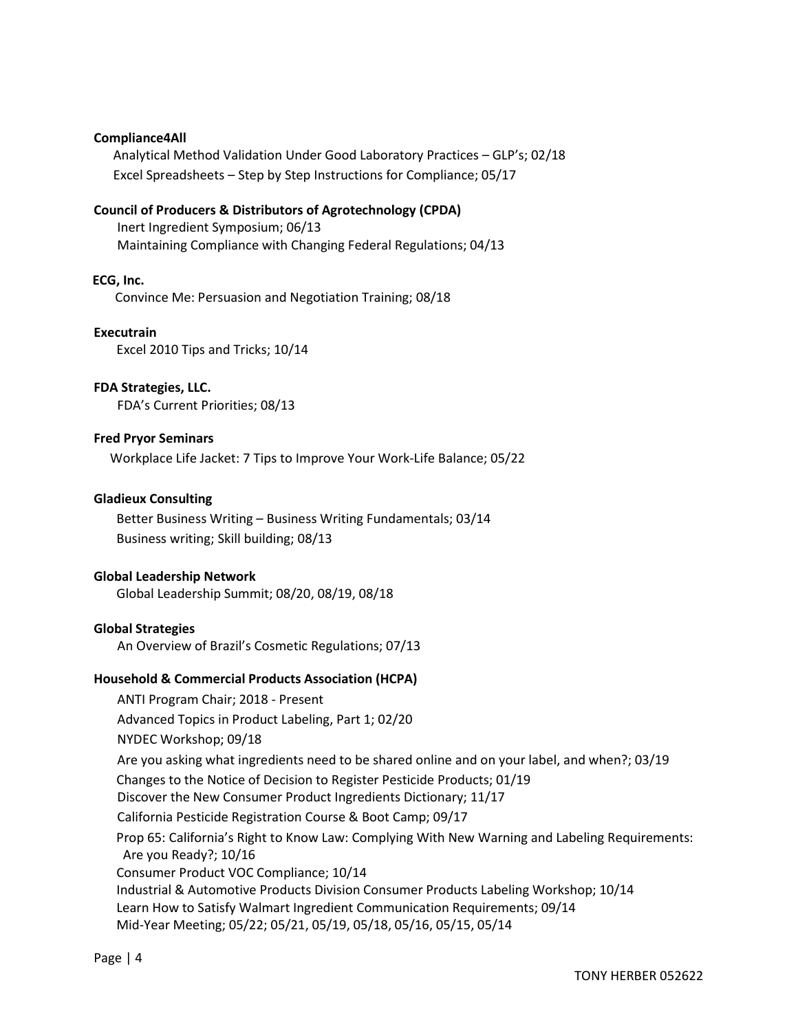#### Compliance4All

 Analytical Method Validation Under Good Laboratory Practices – GLP's; 02/18 Excel Spreadsheets – Step by Step Instructions for Compliance; 05/17

#### Council of Producers & Distributors of Agrotechnology (CPDA)

Inert Ingredient Symposium; 06/13 Maintaining Compliance with Changing Federal Regulations; 04/13

#### ECG, Inc.

Convince Me: Persuasion and Negotiation Training; 08/18

**Executrain** Excel 2010 Tips and Tricks; 10/14

## FDA Strategies, LLC.

FDA's Current Priorities; 08/13

#### Fred Pryor Seminars

Workplace Life Jacket: 7 Tips to Improve Your Work-Life Balance; 05/22

#### Gladieux Consulting

 Better Business Writing – Business Writing Fundamentals; 03/14 Business writing; Skill building; 08/13

#### Global Leadership Network

Global Leadership Summit; 08/20, 08/19, 08/18

#### Global Strategies

An Overview of Brazil's Cosmetic Regulations; 07/13

#### Household & Commercial Products Association (HCPA)

ANTI Program Chair; 2018 - Present Advanced Topics in Product Labeling, Part 1; 02/20 NYDEC Workshop; 09/18 Are you asking what ingredients need to be shared online and on your label, and when?; 03/19 Changes to the Notice of Decision to Register Pesticide Products; 01/19 Discover the New Consumer Product Ingredients Dictionary; 11/17 California Pesticide Registration Course & Boot Camp; 09/17 Prop 65: California's Right to Know Law: Complying With New Warning and Labeling Requirements: Are you Ready?; 10/16 Consumer Product VOC Compliance; 10/14 Industrial & Automotive Products Division Consumer Products Labeling Workshop; 10/14 Learn How to Satisfy Walmart Ingredient Communication Requirements; 09/14 Mid-Year Meeting; 05/22; 05/21, 05/19, 05/18, 05/16, 05/15, 05/14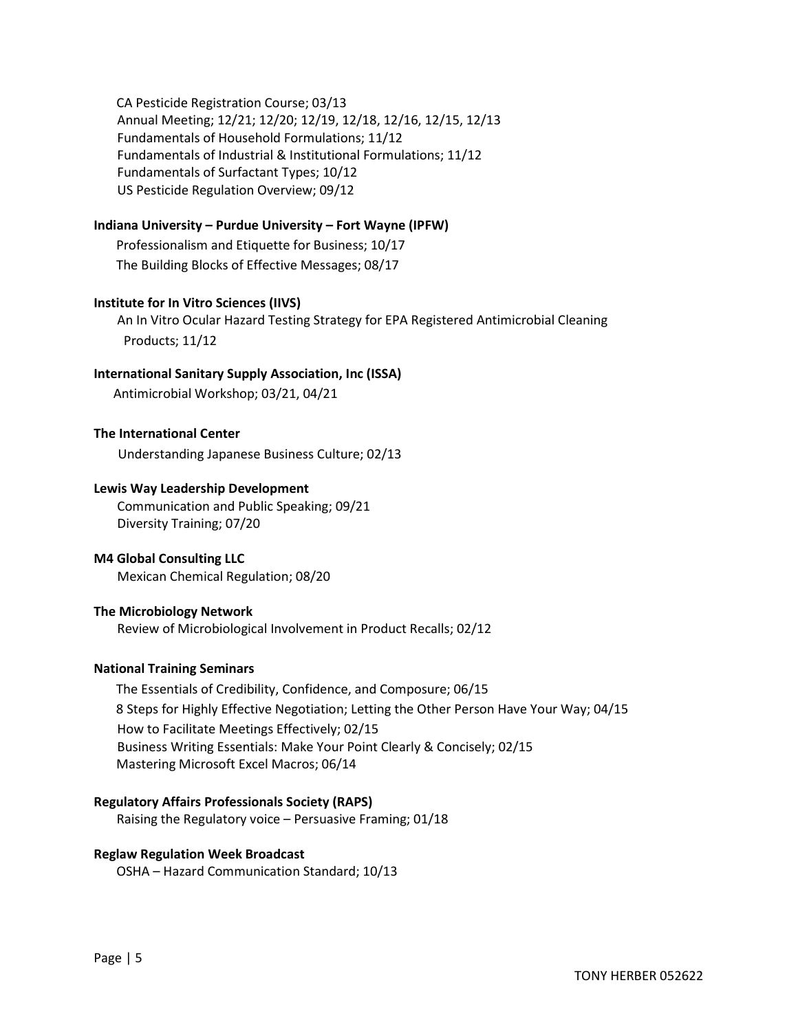CA Pesticide Registration Course; 03/13 Annual Meeting; 12/21; 12/20; 12/19, 12/18, 12/16, 12/15, 12/13 Fundamentals of Household Formulations; 11/12 Fundamentals of Industrial & Institutional Formulations; 11/12 Fundamentals of Surfactant Types; 10/12 US Pesticide Regulation Overview; 09/12

### Indiana University – Purdue University – Fort Wayne (IPFW)

 Professionalism and Etiquette for Business; 10/17 The Building Blocks of Effective Messages; 08/17

#### Institute for In Vitro Sciences (IIVS)

An In Vitro Ocular Hazard Testing Strategy for EPA Registered Antimicrobial Cleaning Products; 11/12

#### International Sanitary Supply Association, Inc (ISSA)

Antimicrobial Workshop; 03/21, 04/21

#### The International Center

Understanding Japanese Business Culture; 02/13

#### Lewis Way Leadership Development

Communication and Public Speaking; 09/21 Diversity Training; 07/20

#### M4 Global Consulting LLC

Mexican Chemical Regulation; 08/20

#### The Microbiology Network

Review of Microbiological Involvement in Product Recalls; 02/12

#### National Training Seminars

 The Essentials of Credibility, Confidence, and Composure; 06/15 8 Steps for Highly Effective Negotiation; Letting the Other Person Have Your Way; 04/15 How to Facilitate Meetings Effectively; 02/15 Business Writing Essentials: Make Your Point Clearly & Concisely; 02/15 Mastering Microsoft Excel Macros; 06/14

#### Regulatory Affairs Professionals Society (RAPS)

Raising the Regulatory voice – Persuasive Framing; 01/18

#### Reglaw Regulation Week Broadcast

OSHA – Hazard Communication Standard; 10/13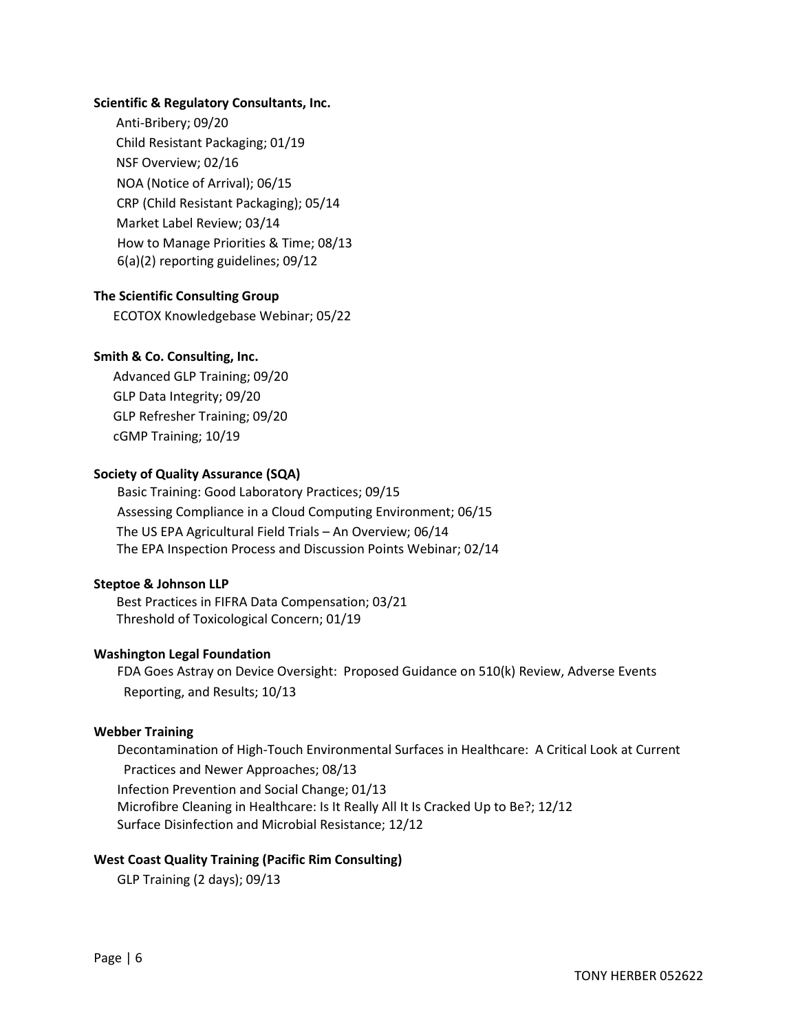#### Scientific & Regulatory Consultants, Inc.

 Anti-Bribery; 09/20 Child Resistant Packaging; 01/19 NSF Overview; 02/16 NOA (Notice of Arrival); 06/15 CRP (Child Resistant Packaging); 05/14 Market Label Review; 03/14 How to Manage Priorities & Time; 08/13 6(a)(2) reporting guidelines; 09/12

### The Scientific Consulting Group

ECOTOX Knowledgebase Webinar; 05/22

#### Smith & Co. Consulting, Inc.

 Advanced GLP Training; 09/20 GLP Data Integrity; 09/20 GLP Refresher Training; 09/20 cGMP Training; 10/19

#### Society of Quality Assurance (SQA)

Basic Training: Good Laboratory Practices; 09/15 Assessing Compliance in a Cloud Computing Environment; 06/15 The US EPA Agricultural Field Trials – An Overview; 06/14 The EPA Inspection Process and Discussion Points Webinar; 02/14

#### Steptoe & Johnson LLP

 Best Practices in FIFRA Data Compensation; 03/21 Threshold of Toxicological Concern; 01/19

#### Washington Legal Foundation

FDA Goes Astray on Device Oversight: Proposed Guidance on 510(k) Review, Adverse Events Reporting, and Results; 10/13

#### Webber Training

Decontamination of High-Touch Environmental Surfaces in Healthcare: A Critical Look at Current Practices and Newer Approaches; 08/13 Infection Prevention and Social Change; 01/13 Microfibre Cleaning in Healthcare: Is It Really All It Is Cracked Up to Be?; 12/12 Surface Disinfection and Microbial Resistance; 12/12

#### West Coast Quality Training (Pacific Rim Consulting)

GLP Training (2 days); 09/13